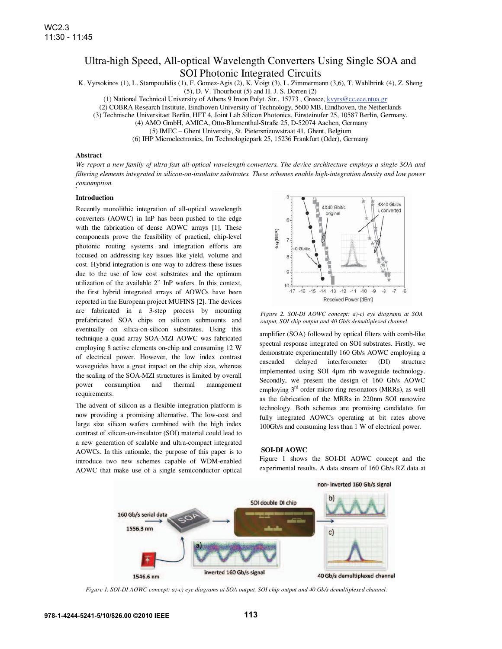# Ultra-high Speed, All-optical Wavelength Converters Using Single SOA and SOI Photonic Integrated Circuits

K. Vyrsokinos (1), L. Stampoulidis (1), F. Gomez-Agis (2), K. Voigt (3), L. Zimmermann (3,6), T. Wahlbrink (4), Z. Sheng

 $(5)$ , D. V. Thourhout  $(5)$  and H. J. S. Dorren  $(2)$ 

(1) National Technical University of Athens 9 Iroon Polyt. Str., 15773 , Greece, kvyrs@cc.ece.ntua.gr

(2) COBRA Research Institute, Eindhoven University of Technology, 5600 MB, Eindhoven, the Netherlands

(3) Technische Universitaet Berlin, HFT 4, Joint Lab Silicon Photonics, Einsteinufer 25, 10587 Berlin, Germany.

(4) AMO GmbH, AMICA, Otto-Blumenthal-Straße 25, D-52074 Aachen, Germany

(5) IMEC – Ghent University, St. Pietersnieuwstraat 41, Ghent, Belgium

(6) IHP Microelectronics, Im Technologiepark 25, 15236 Frankfurt (Oder), Germany

## **Abstract**

*We report a new family of ultra-fast all-optical wavelength converters. The device architecture employs a single SOA and filtering elements integrated in silicon-on-insulator substrates. These schemes enable high-integration density and low power consumption.* 

### **Introduction**

Recently monolithic integration of all-optical wavelength converters (AOWC) in InP has been pushed to the edge with the fabrication of dense AOWC arrays [1]. These components prove the feasibility of practical, chip-level photonic routing systems and integration efforts are focused on addressing key issues like yield, volume and cost. Hybrid integration is one way to address these issues due to the use of low cost substrates and the optimum utilization of the available 2" InP wafers. In this context, the first hybrid integrated arrays of AOWCs have been reported in the European project MUFINS [2]. The devices are fabricated in a 3-step process by mounting prefabricated SOA chips on silicon submounts and eventually on silica-on-silicon substrates. Using this technique a quad array SOA-MZI AOWC was fabricated employing 8 active elements on-chip and consuming 12 W of electrical power. However, the low index contrast waveguides have a great impact on the chip size, whereas the scaling of the SOA-MZI structures is limited by overall power consumption and thermal management requirements.

The advent of silicon as a flexible integration platform is now providing a promising alternative. The low-cost and large size silicon wafers combined with the high index contrast of silicon-on-insulator (SOI) material could lead to a new generation of scalable and ultra-compact integrated AOWCs. In this rationale, the purpose of this paper is to introduce two new schemes capable of WDM-enabled AOWC that make use of a single semiconductor optical



*Figure 2. SOI-DI AOWC concept: a)-c) eye diagrams at SOA output, SOI chip output and 40 Gb/s demultiplexed channel.* 

amplifier (SOA) followed by optical filters with comb-like spectral response integrated on SOI substrates. Firstly, we demonstrate experimentally 160 Gb/s AOWC employing a cascaded delayed interferometer (DI) structure implemented using SOI 4µm rib waveguide technology. Secondly, we present the design of 160 Gb/s AOWC employing  $3<sup>rd</sup>$  order micro-ring resonators (MRRs), as well as the fabrication of the MRRs in 220nm SOI nanowire technology. Both schemes are promising candidates for fully integrated AOWCs operating at bit rates above 100Gb/s and consuming less than 1 W of electrical power.

### **SOI-DI AOWC**

Figure 1 shows the SOI-DI AOWC concept and the experimental results. A data stream of 160 Gb/s RZ data at



*Figure 1. SOI-DI AOWC concept: a)-c) eye diagrams at SOA output, SOI chip output and 40 Gb/s demultiplexed channel.*